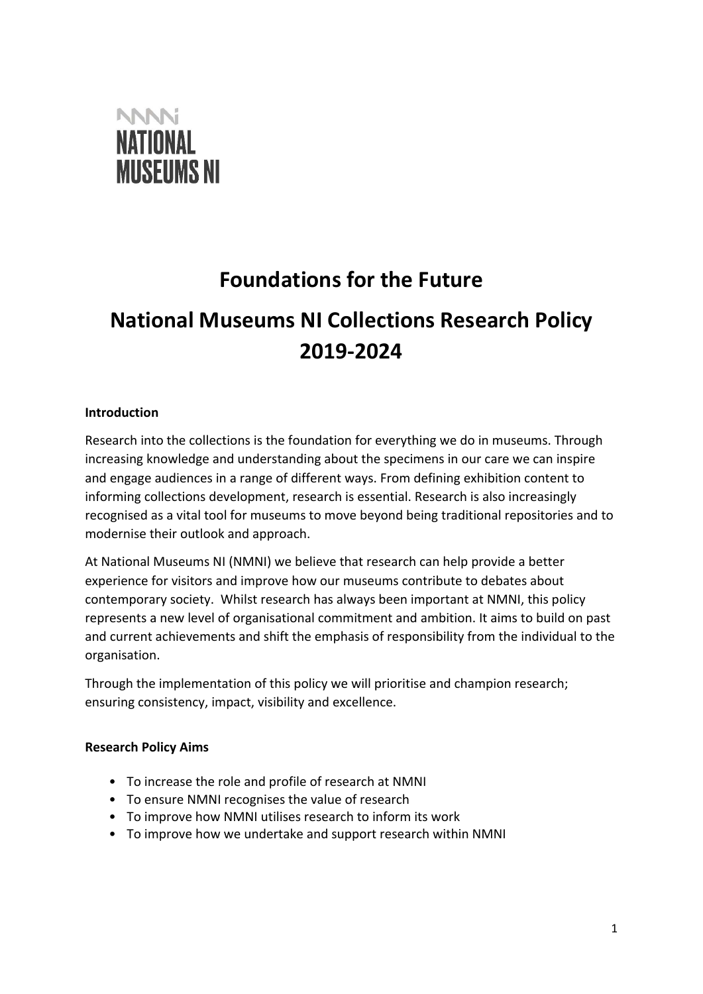

## **Foundations for the Future**

# **National Museums NI Collections Research Policy 2019‐2024**

## **Introduction**

Research into the collections is the foundation for everything we do in museums. Through increasing knowledge and understanding about the specimens in our care we can inspire and engage audiences in a range of different ways. From defining exhibition content to informing collections development, research is essential. Research is also increasingly recognised as a vital tool for museums to move beyond being traditional repositories and to modernise their outlook and approach.

At National Museums NI (NMNI) we believe that research can help provide a better experience for visitors and improve how our museums contribute to debates about contemporary society. Whilst research has always been important at NMNI, this policy represents a new level of organisational commitment and ambition. It aims to build on past and current achievements and shift the emphasis of responsibility from the individual to the organisation.

Through the implementation of this policy we will prioritise and champion research; ensuring consistency, impact, visibility and excellence.

## **Research Policy Aims**

- To increase the role and profile of research at NMNI
- To ensure NMNI recognises the value of research
- To improve how NMNI utilises research to inform its work
- To improve how we undertake and support research within NMNI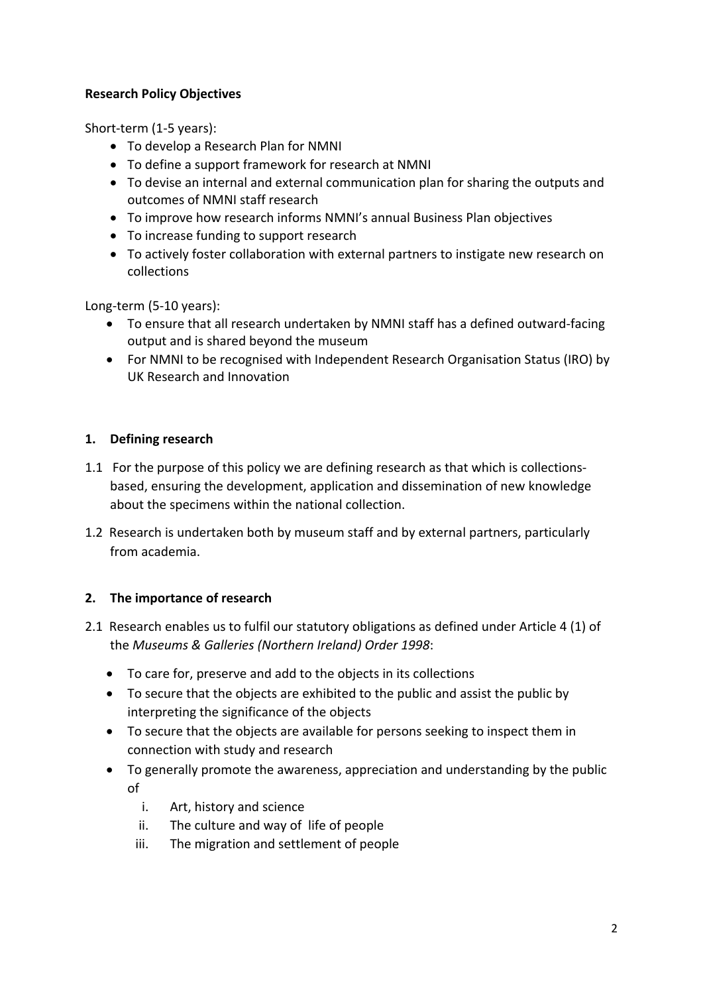## **Research Policy Objectives**

Short-term (1-5 years):

- To develop a Research Plan for NMNI
- To define a support framework for research at NMNI
- To devise an internal and external communication plan for sharing the outputs and outcomes of NMNI staff research
- To improve how research informs NMNI's annual Business Plan objectives
- To increase funding to support research
- To actively foster collaboration with external partners to instigate new research on collections

Long‐term (5‐10 years):

- To ensure that all research undertaken by NMNI staff has a defined outward‐facing output and is shared beyond the museum
- For NMNI to be recognised with Independent Research Organisation Status (IRO) by UK Research and Innovation

## **1. Defining research**

- 1.1 For the purpose of this policy we are defining research as that which is collectionsbased, ensuring the development, application and dissemination of new knowledge about the specimens within the national collection.
- 1.2 Research is undertaken both by museum staff and by external partners, particularly from academia.

## **2. The importance of research**

- 2.1 Research enables us to fulfil our statutory obligations as defined under Article 4 (1) of the *Museums & Galleries (Northern Ireland) Order 1998*:
	- To care for, preserve and add to the objects in its collections
	- To secure that the objects are exhibited to the public and assist the public by interpreting the significance of the objects
	- To secure that the objects are available for persons seeking to inspect them in connection with study and research
	- To generally promote the awareness, appreciation and understanding by the public of
		- i. Art, history and science
		- ii. The culture and way of life of people
		- iii. The migration and settlement of people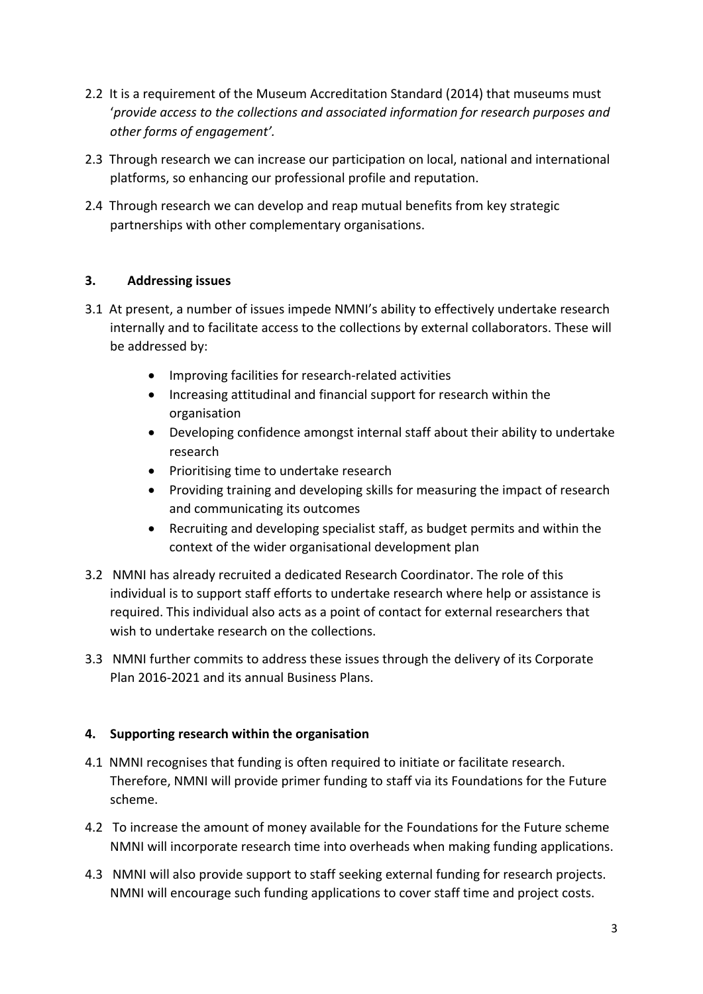- 2.2 It is a requirement of the Museum Accreditation Standard (2014) that museums must '*provide access to the collections and associated information for research purposes and other forms of engagement'.*
- 2.3 Through research we can increase our participation on local, national and international platforms, so enhancing our professional profile and reputation.
- 2.4 Through research we can develop and reap mutual benefits from key strategic partnerships with other complementary organisations.

## **3. Addressing issues**

- 3.1 At present, a number of issues impede NMNI's ability to effectively undertake research internally and to facilitate access to the collections by external collaborators. These will be addressed by:
	- Improving facilities for research-related activities
	- Increasing attitudinal and financial support for research within the organisation
	- Developing confidence amongst internal staff about their ability to undertake research
	- Prioritising time to undertake research
	- Providing training and developing skills for measuring the impact of research and communicating its outcomes
	- Recruiting and developing specialist staff, as budget permits and within the context of the wider organisational development plan
- 3.2 NMNI has already recruited a dedicated Research Coordinator. The role of this individual is to support staff efforts to undertake research where help or assistance is required. This individual also acts as a point of contact for external researchers that wish to undertake research on the collections.
- 3.3 NMNI further commits to address these issues through the delivery of its Corporate Plan 2016‐2021 and its annual Business Plans.

## **4. Supporting research within the organisation**

- 4.1 NMNI recognises that funding is often required to initiate or facilitate research. Therefore, NMNI will provide primer funding to staff via its Foundations for the Future scheme.
- 4.2 To increase the amount of money available for the Foundations for the Future scheme NMNI will incorporate research time into overheads when making funding applications.
- 4.3 NMNI will also provide support to staff seeking external funding for research projects. NMNI will encourage such funding applications to cover staff time and project costs.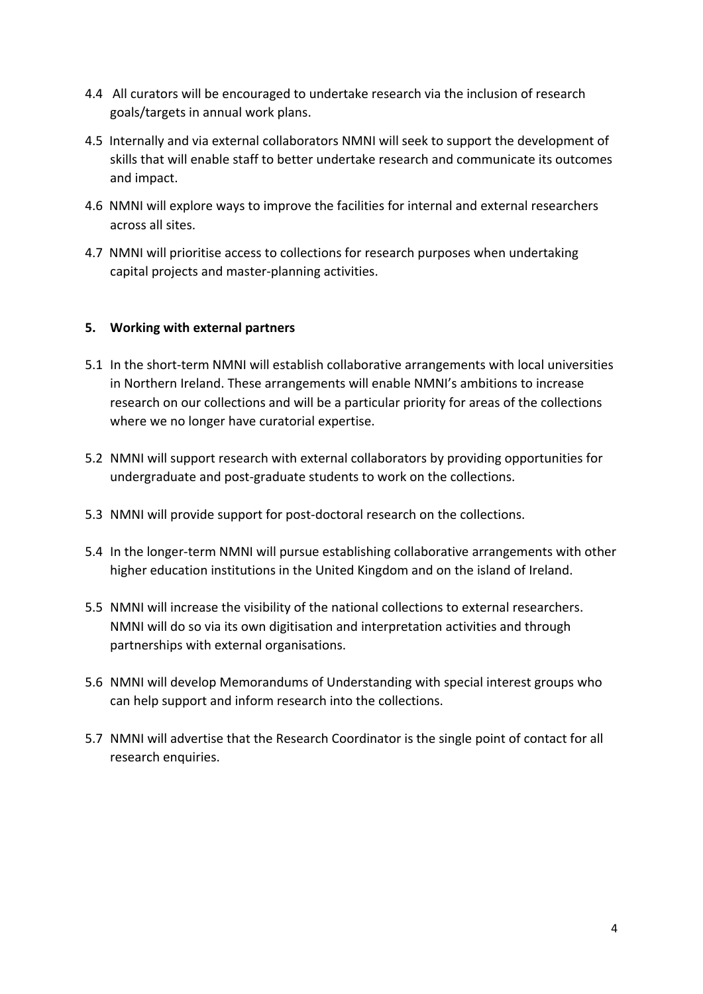- 4.4 All curators will be encouraged to undertake research via the inclusion of research goals/targets in annual work plans.
- 4.5 Internally and via external collaborators NMNI will seek to support the development of skills that will enable staff to better undertake research and communicate its outcomes and impact.
- 4.6 NMNI will explore ways to improve the facilities for internal and external researchers across all sites.
- 4.7 NMNI will prioritise access to collections for research purposes when undertaking capital projects and master‐planning activities.

## **5. Working with external partners**

- 5.1 In the short-term NMNI will establish collaborative arrangements with local universities in Northern Ireland. These arrangements will enable NMNI's ambitions to increase research on our collections and will be a particular priority for areas of the collections where we no longer have curatorial expertise.
- 5.2 NMNI will support research with external collaborators by providing opportunities for undergraduate and post‐graduate students to work on the collections.
- 5.3 NMNI will provide support for post-doctoral research on the collections.
- 5.4 In the longer-term NMNI will pursue establishing collaborative arrangements with other higher education institutions in the United Kingdom and on the island of Ireland.
- 5.5 NMNI will increase the visibility of the national collections to external researchers. NMNI will do so via its own digitisation and interpretation activities and through partnerships with external organisations.
- 5.6 NMNI will develop Memorandums of Understanding with special interest groups who can help support and inform research into the collections.
- 5.7 NMNI will advertise that the Research Coordinator is the single point of contact for all research enquiries.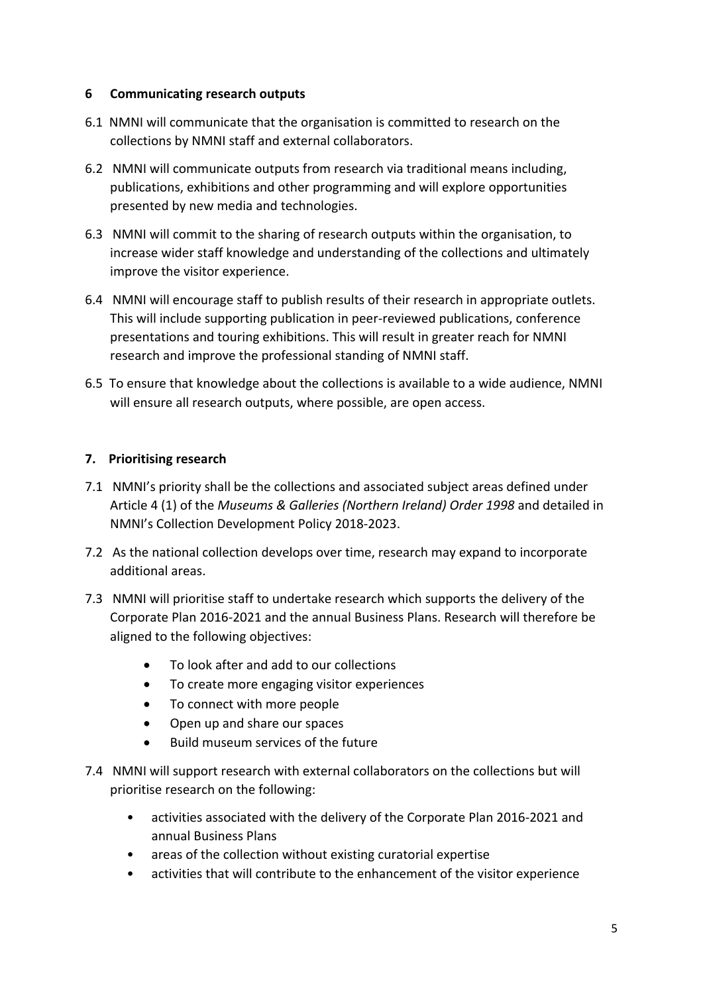#### **6 Communicating research outputs**

- 6.1 NMNI will communicate that the organisation is committed to research on the collections by NMNI staff and external collaborators.
- 6.2 NMNI will communicate outputs from research via traditional means including, publications, exhibitions and other programming and will explore opportunities presented by new media and technologies.
- 6.3 NMNI will commit to the sharing of research outputs within the organisation, to increase wider staff knowledge and understanding of the collections and ultimately improve the visitor experience.
- 6.4 NMNI will encourage staff to publish results of their research in appropriate outlets. This will include supporting publication in peer‐reviewed publications, conference presentations and touring exhibitions. This will result in greater reach for NMNI research and improve the professional standing of NMNI staff.
- 6.5 To ensure that knowledge about the collections is available to a wide audience, NMNI will ensure all research outputs, where possible, are open access.

## **7. Prioritising research**

- 7.1 NMNI's priority shall be the collections and associated subject areas defined under Article 4 (1) of the *Museums & Galleries (Northern Ireland) Order 1998* and detailed in NMNI's Collection Development Policy 2018‐2023.
- 7.2 As the national collection develops over time, research may expand to incorporate additional areas.
- 7.3 NMNI will prioritise staff to undertake research which supports the delivery of the Corporate Plan 2016‐2021 and the annual Business Plans. Research will therefore be aligned to the following objectives:
	- To look after and add to our collections
	- To create more engaging visitor experiences
	- To connect with more people
	- Open up and share our spaces
	- Build museum services of the future
- 7.4 NMNI will support research with external collaborators on the collections but will prioritise research on the following:
	- activities associated with the delivery of the Corporate Plan 2016‐2021 and annual Business Plans
	- areas of the collection without existing curatorial expertise
	- activities that will contribute to the enhancement of the visitor experience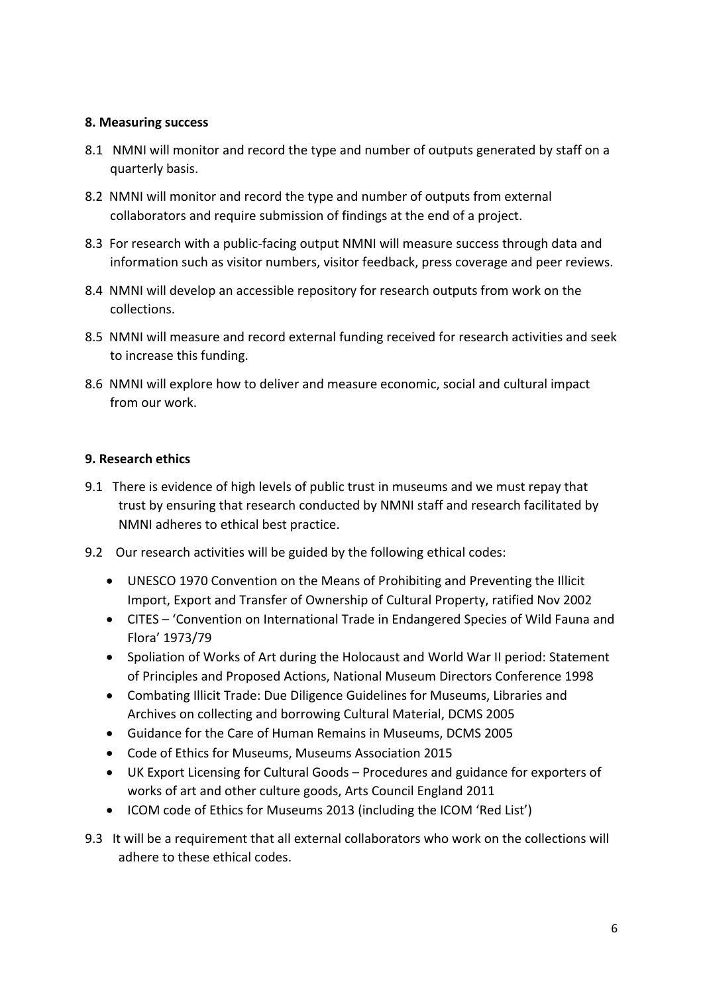#### **8. Measuring success**

- 8.1 NMNI will monitor and record the type and number of outputs generated by staff on a quarterly basis.
- 8.2 NMNI will monitor and record the type and number of outputs from external collaborators and require submission of findings at the end of a project.
- 8.3 For research with a public-facing output NMNI will measure success through data and information such as visitor numbers, visitor feedback, press coverage and peer reviews.
- 8.4 NMNI will develop an accessible repository for research outputs from work on the collections.
- 8.5 NMNI will measure and record external funding received for research activities and seek to increase this funding.
- 8.6 NMNI will explore how to deliver and measure economic, social and cultural impact from our work.

## **9. Research ethics**

- 9.1There is evidence of high levels of public trust in museums and we must repay that trust by ensuring that research conducted by NMNI staff and research facilitated by NMNI adheres to ethical best practice.
- 9.2 Our research activities will be guided by the following ethical codes:
	- UNESCO 1970 Convention on the Means of Prohibiting and Preventing the Illicit Import, Export and Transfer of Ownership of Cultural Property, ratified Nov 2002
	- CITES 'Convention on International Trade in Endangered Species of Wild Fauna and Flora' 1973/79
	- Spoliation of Works of Art during the Holocaust and World War II period: Statement of Principles and Proposed Actions, National Museum Directors Conference 1998
	- Combating Illicit Trade: Due Diligence Guidelines for Museums, Libraries and Archives on collecting and borrowing Cultural Material, DCMS 2005
	- Guidance for the Care of Human Remains in Museums, DCMS 2005
	- Code of Ethics for Museums, Museums Association 2015
	- UK Export Licensing for Cultural Goods Procedures and guidance for exporters of works of art and other culture goods, Arts Council England 2011
	- ICOM code of Ethics for Museums 2013 (including the ICOM 'Red List')
- 9.3 It will be a requirement that all external collaborators who work on the collections will adhere to these ethical codes.